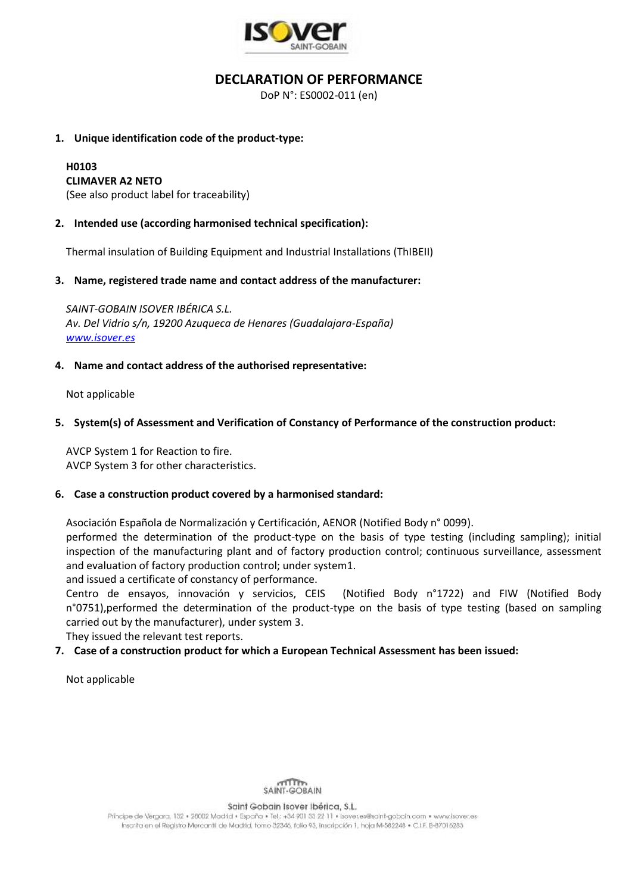

# **DECLARATION OF PERFORMANCE**

DoP N°: ES0002-011 (en)

### **1. Unique identification code of the product-type:**

#### **H0103 CLIMAVER A2 NETO**

(See also product label for traceability)

# **2. Intended use (according harmonised technical specification):**

Thermal insulation of Building Equipment and Industrial Installations (ThIBEII)

### **3. Name, registered trade name and contact address of the manufacturer:**

*SAINT-GOBAIN ISOVER IBÉRICA S.L. Av. Del Vidrio s/n, 19200 Azuqueca de Henares (Guadalajara-España) [www.isover.es](http://www.isover.es/)*

### **4. Name and contact address of the authorised representative:**

Not applicable

### **5. System(s) of Assessment and Verification of Constancy of Performance of the construction product:**

AVCP System 1 for Reaction to fire. AVCP System 3 for other characteristics.

#### **6. Case a construction product covered by a harmonised standard:**

Asociación Española de Normalización y Certificación, AENOR (Notified Body n° 0099).

performed the determination of the product-type on the basis of type testing (including sampling); initial inspection of the manufacturing plant and of factory production control; continuous surveillance, assessment and evaluation of factory production control; under system1.

and issued a certificate of constancy of performance.

Centro de ensayos, innovación y servicios, CEIS (Notified Body n°1722) and FIW (Notified Body n°0751),performed the determination of the product-type on the basis of type testing (based on sampling carried out by the manufacturer), under system 3.

They issued the relevant test reports.

# **7. Case of a construction product for which a European Technical Assessment has been issued:**

Not applicable



Saint Gobain Isover Ibérica, S.L.

Principe de Vergara, 132 · 28002 Madrid · España · Tel.: +34 901 33 22 11 · Isover.es@saint-gobaln.com · www.lsover.es Inscrita en el Registro Mercantil de Madrid, tomo 32346, folio 93, inscripción 1, hoja M-582248 · C.I.F. B-87016283